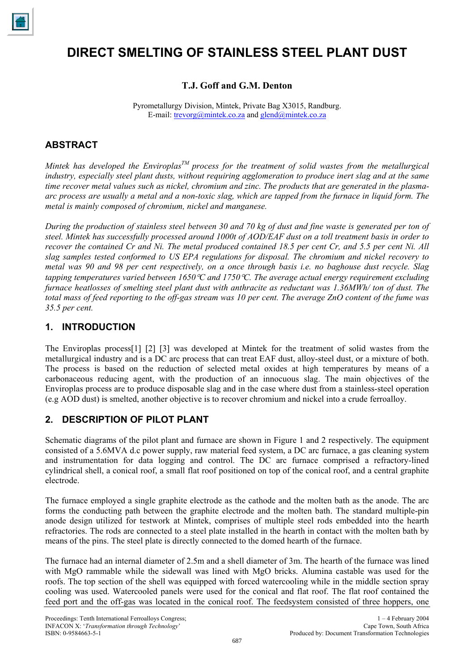

# **DIRECT SMELTING OF STAINLESS STEEL PLANT DUST**

# **T.J. Goff and G.M. Denton**

Pyrometallurgy Division, Mintek, Private Bag X3015, Randburg. E-mail: trevorg@mintek.co.za and glend@mintek.co.za

# **ABSTRACT**

*Mintek has developed the Enviroplas<sup>TM</sup> process for the treatment of solid wastes from the metallurgical industry, especially steel plant dusts, without requiring agglomeration to produce inert slag and at the same time recover metal values such as nickel, chromium and zinc. The products that are generated in the plasmaarc process are usually a metal and a non-toxic slag, which are tapped from the furnace in liquid form. The metal is mainly composed of chromium, nickel and manganese.* 

*During the production of stainless steel between 30 and 70 kg of dust and fine waste is generated per ton of steel. Mintek has successfully processed around 1000t of AOD/EAF dust on a toll treatment basis in order to recover the contained Cr and Ni. The metal produced contained 18.5 per cent Cr, and 5.5 per cent Ni. All slag samples tested conformed to US EPA regulations for disposal. The chromium and nickel recovery to metal was 90 and 98 per cent respectively, on a once through basis i.e. no baghouse dust recycle. Slag tapping temperatures varied between 1650*°*C and 1750*°*C. The average actual energy requirement excluding furnace heatlosses of smelting steel plant dust with anthracite as reductant was 1.36MWh/ ton of dust. The total mass of feed reporting to the off-gas stream was 10 per cent. The average ZnO content of the fume was 35.5 per cent.* 

# **1. INTRODUCTION**

The Enviroplas process[1] [2] [3] was developed at Mintek for the treatment of solid wastes from the metallurgical industry and is a DC arc process that can treat EAF dust, alloy-steel dust, or a mixture of both. The process is based on the reduction of selected metal oxides at high temperatures by means of a carbonaceous reducing agent, with the production of an innocuous slag. The main objectives of the Enviroplas process are to produce disposable slag and in the case where dust from a stainless-steel operation (e.g AOD dust) is smelted, another objective is to recover chromium and nickel into a crude ferroalloy.

# **2. DESCRIPTION OF PILOT PLANT**

Schematic diagrams of the pilot plant and furnace are shown in Figure 1 and 2 respectively. The equipment consisted of a 5.6MVA d.c power supply, raw material feed system, a DC arc furnace, a gas cleaning system and instrumentation for data logging and control. The DC arc furnace comprised a refractory-lined cylindrical shell, a conical roof, a small flat roof positioned on top of the conical roof, and a central graphite electrode.

The furnace employed a single graphite electrode as the cathode and the molten bath as the anode. The arc forms the conducting path between the graphite electrode and the molten bath. The standard multiple-pin anode design utilized for testwork at Mintek, comprises of multiple steel rods embedded into the hearth refractories. The rods are connected to a steel plate installed in the hearth in contact with the molten bath by means of the pins. The steel plate is directly connected to the domed hearth of the furnace.

The furnace had an internal diameter of 2.5m and a shell diameter of 3m. The hearth of the furnace was lined with MgO rammable while the sidewall was lined with MgO bricks. Alumina castable was used for the roofs. The top section of the shell was equipped with forced watercooling while in the middle section spray cooling was used. Watercooled panels were used for the conical and flat roof. The flat roof contained the feed port and the off-gas was located in the conical roof. The feedsystem consisted of three hoppers, one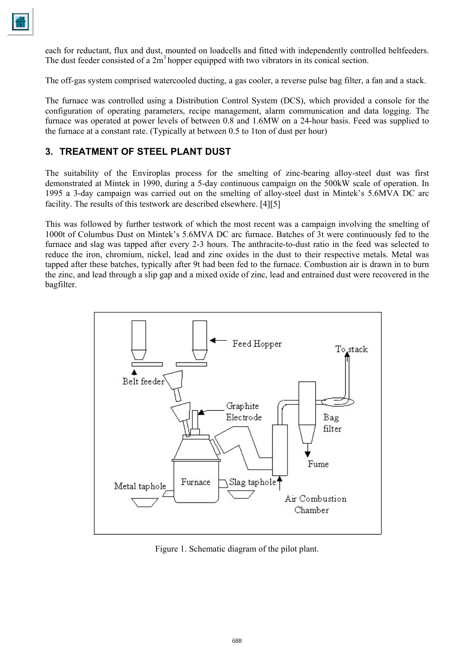each for reductant, flux and dust, mounted on loadcells and fitted with independently controlled beltfeeders. The dust feeder consisted of a  $2m<sup>3</sup>$  hopper equipped with two vibrators in its conical section.

The off-gas system comprised watercooled ducting, a gas cooler, a reverse pulse bag filter, a fan and a stack.

The furnace was controlled using a Distribution Control System (DCS), which provided a console for the configuration of operating parameters, recipe management, alarm communication and data logging. The furnace was operated at power levels of between 0.8 and 1.6MW on a 24-hour basis. Feed was supplied to the furnace at a constant rate. (Typically at between 0.5 to 1ton of dust per hour)

# **3. TREATMENT OF STEEL PLANT DUST**

The suitability of the Enviroplas process for the smelting of zinc-bearing alloy-steel dust was first demonstrated at Mintek in 1990, during a 5-day continuous campaign on the 500kW scale of operation. In 1995 a 3-day campaign was carried out on the smelting of alloy-steel dust in Mintek's 5.6MVA DC arc facility. The results of this testwork are described elsewhere. [4][5]

This was followed by further testwork of which the most recent was a campaign involving the smelting of 1000t of Columbus Dust on Mintek's 5.6MVA DC arc furnace. Batches of 3t were continuously fed to the furnace and slag was tapped after every 2-3 hours. The anthracite-to-dust ratio in the feed was selected to reduce the iron, chromium, nickel, lead and zinc oxides in the dust to their respective metals. Metal was tapped after these batches, typically after 9t had been fed to the furnace. Combustion air is drawn in to burn the zinc, and lead through a slip gap and a mixed oxide of zinc, lead and entrained dust were recovered in the bagfilter.



Figure 1. Schematic diagram of the pilot plant.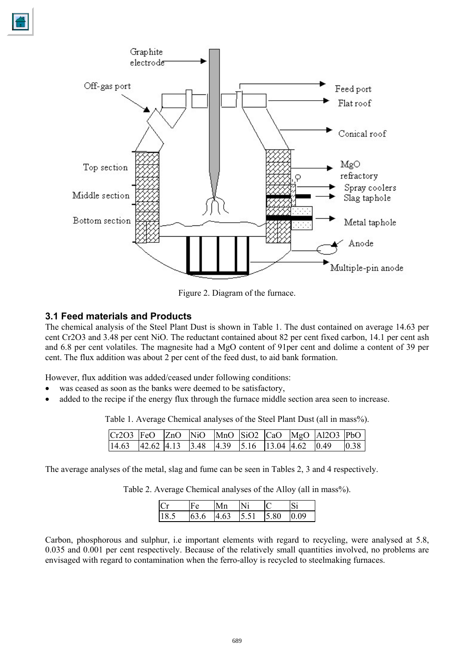

Figure 2. Diagram of the furnace.

#### **3.1 Feed materials and Products**

The chemical analysis of the Steel Plant Dust is shown in Table 1. The dust contained on average 14.63 per cent Cr2O3 and 3.48 per cent NiO. The reductant contained about 82 per cent fixed carbon, 14.1 per cent ash and 6.8 per cent volatiles. The magnesite had a MgO content of 91per cent and dolime a content of 39 per cent. The flux addition was about 2 per cent of the feed dust, to aid bank formation.

However, flux addition was added/ceased under following conditions:

- was ceased as soon as the banks were deemed to be satisfactory,
- added to the recipe if the energy flux through the furnace middle section area seen to increase.

Table 1. Average Chemical analyses of the Steel Plant Dust (all in mass%).

|  |  |  |  | Cr2O3 FeO $\vert$ ZnO $\vert$ NiO $\vert$ MnO $\vert$ SiO2 $\vert$ CaO $\vert$ MgO $\vert$ Al2O3 $\vert$ PbO |  |
|--|--|--|--|--------------------------------------------------------------------------------------------------------------|--|
|  |  |  |  | 14.63 $ 42.62 4.13 3.48 4.39 5.16 13.04 4.62 0.49 0.38$                                                      |  |

The average analyses of the metal, slag and fume can be seen in Tables 2, 3 and 4 respectively.

Table 2. Average Chemical analyses of the Alloy (all in mass%).

| $\mathcal{C}$ |      |      |       |      |  |
|---------------|------|------|-------|------|--|
| 18.5          | 63.6 | 4.63 | 15.51 | 5.80 |  |

Carbon, phosphorous and sulphur, i.e important elements with regard to recycling, were analysed at 5.8, 0.035 and 0.001 per cent respectively. Because of the relatively small quantities involved, no problems are envisaged with regard to contamination when the ferro-alloy is recycled to steelmaking furnaces.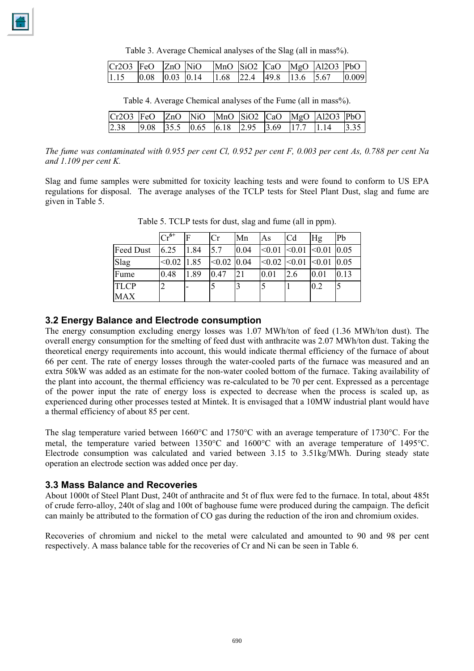Table 3. Average Chemical analyses of the Slag (all in mass%).

|  |  |  |  | $ Cr2O3 FeO$ $ ZnO NiO$ $ MnO SiO2 CaO$ $ MgO Al2O3 PbO $                                            |  |
|--|--|--|--|------------------------------------------------------------------------------------------------------|--|
|  |  |  |  | $\begin{bmatrix} 1.15 & 0.08 & 0.03 & 0.14 & 1.68 & 22.4 & 49.8 & 13.6 & 5.67 & 0.009 \end{bmatrix}$ |  |

| Table 4. Average Chemical analyses of the Fume (all in mass%). |  |  |  |  |  |  |  |
|----------------------------------------------------------------|--|--|--|--|--|--|--|
|----------------------------------------------------------------|--|--|--|--|--|--|--|

| $Cr2O3$ FeO ZnO NiO MnO SiO2 CaO MgO Al2O3 PbO |  |  |  |  |  |
|------------------------------------------------|--|--|--|--|--|
|                                                |  |  |  |  |  |

*The fume was contaminated with 0.955 per cent Cl, 0.952 per cent F, 0.003 per cent As, 0.788 per cent Na and 1.109 per cent K.* 

Slag and fume samples were submitted for toxicity leaching tests and were found to conform to US EPA regulations for disposal. The average analyses of the TCLP tests for Steel Plant Dust, slag and fume are given in Table 5.

|             | $\overline{\mathrm{Cr}^{6+}}$ |                          | Cr     | Mn   | As     | C <sub>d</sub> | Hg     | Pb   |
|-------------|-------------------------------|--------------------------|--------|------|--------|----------------|--------|------|
| Feed Dust   | 6.25                          | 1.84                     | 5.7    | 0.04 | < 0.01 | < 0.01         | < 0.01 | 0.05 |
| Slag        | < 0.02                        | 1.85                     | < 0.02 | 0.04 | < 0.02 | < 0.01         | < 0.01 | 0.05 |
| Fume        | 0.48                          | 1.89                     | 0.47   | 21   | 0.01   | 2.6            | 0.01   | 0.13 |
| <b>TLCP</b> | ∍                             | $\overline{\phantom{a}}$ | 5      | 3    |        |                | 0.2    |      |
| <b>MAX</b>  |                               |                          |        |      |        |                |        |      |

Table 5. TCLP tests for dust, slag and fume (all in ppm).

#### **3.2 Energy Balance and Electrode consumption**

The energy consumption excluding energy losses was 1.07 MWh/ton of feed (1.36 MWh/ton dust). The overall energy consumption for the smelting of feed dust with anthracite was 2.07 MWh/ton dust. Taking the theoretical energy requirements into account, this would indicate thermal efficiency of the furnace of about 66 per cent. The rate of energy losses through the water-cooled parts of the furnace was measured and an extra 50kW was added as an estimate for the non-water cooled bottom of the furnace. Taking availability of the plant into account, the thermal efficiency was re-calculated to be 70 per cent. Expressed as a percentage of the power input the rate of energy loss is expected to decrease when the process is scaled up, as experienced during other processes tested at Mintek. It is envisaged that a 10MW industrial plant would have a thermal efficiency of about 85 per cent.

The slag temperature varied between 1660°C and 1750°C with an average temperature of 1730°C. For the metal, the temperature varied between 1350°C and 1600°C with an average temperature of 1495°C. Electrode consumption was calculated and varied between 3.15 to 3.51kg/MWh. During steady state operation an electrode section was added once per day.

## **3.3 Mass Balance and Recoveries**

About 1000t of Steel Plant Dust, 240t of anthracite and 5t of flux were fed to the furnace. In total, about 485t of crude ferro-alloy, 240t of slag and 100t of baghouse fume were produced during the campaign. The deficit can mainly be attributed to the formation of CO gas during the reduction of the iron and chromium oxides.

Recoveries of chromium and nickel to the metal were calculated and amounted to 90 and 98 per cent respectively. A mass balance table for the recoveries of Cr and Ni can be seen in Table 6.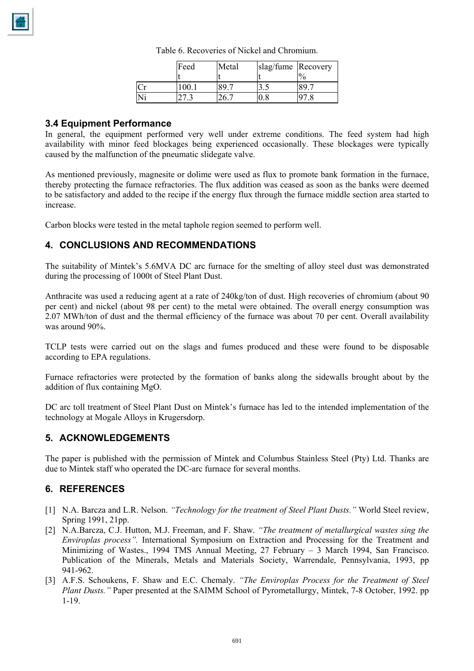

|    | Feed  | Metal | slag/fume Recovery | $\frac{0}{0}$ |
|----|-------|-------|--------------------|---------------|
| Cr | 100.1 |       | ر. ر               |               |
| Ni |       |       |                    |               |

Table 6. Recoveries of Nickel and Chromium.

### **3.4 Equipment Performance**

In general, the equipment performed very well under extreme conditions. The feed system had high availability with minor feed blockages being experienced occasionally. These blockages were typically caused by the malfunction of the pneumatic slidegate valve.

As mentioned previously, magnesite or dolime were used as flux to promote bank formation in the furnace, thereby protecting the furnace refractories. The flux addition was ceased as soon as the banks were deemed to be satisfactory and added to the recipe if the energy flux through the furnace middle section area started to increase.

Carbon blocks were tested in the metal taphole region seemed to perform well.

# **4. CONCLUSIONS AND RECOMMENDATIONS**

The suitability of Mintek's 5.6MVA DC arc furnace for the smelting of alloy steel dust was demonstrated during the processing of 1000t of Steel Plant Dust.

Anthracite was used a reducing agent at a rate of 240kg/ton of dust. High recoveries of chromium (about 90 per cent) and nickel (about 98 per cent) to the metal were obtained. The overall energy consumption was 2.07 MWh/ton of dust and the thermal efficiency of the furnace was about 70 per cent. Overall availability was around 90%.

TCLP tests were carried out on the slags and fumes produced and these were found to be disposable according to EPA regulations.

Furnace refractories were protected by the formation of banks along the sidewalls brought about by the addition of flux containing MgO.

DC arc toll treatment of Steel Plant Dust on Mintek's furnace has led to the intended implementation of the technology at Mogale Alloys in Krugersdorp.

## **5. ACKNOWLEDGEMENTS**

The paper is published with the permission of Mintek and Columbus Stainless Steel (Pty) Ltd. Thanks are due to Mintek staff who operated the DC-arc furnace for several months.

## **6. REFERENCES**

- [1] N.A. Barcza and L.R. Nelson. *"Technology for the treatment of Steel Plant Dusts."* World Steel review, Spring 1991, 21pp.
- [2] N.A.Barcza, C.J. Hutton, M.J. Freeman, and F. Shaw. *"The treatment of metallurgical wastes sing the Enviroplas process".* International Symposium on Extraction and Processing for the Treatment and Minimizing of Wastes., 1994 TMS Annual Meeting, 27 February – 3 March 1994, San Francisco. Publication of the Minerals, Metals and Materials Society, Warrendale, Pennsylvania, 1993, pp 941-962.
- [3] A.F.S. Schoukens, F. Shaw and E.C. Chemaly. *"The Enviroplas Process for the Treatment of Steel Plant Dusts."* Paper presented at the SAIMM School of Pyrometallurgy, Mintek, 7-8 October, 1992. pp 1-19.